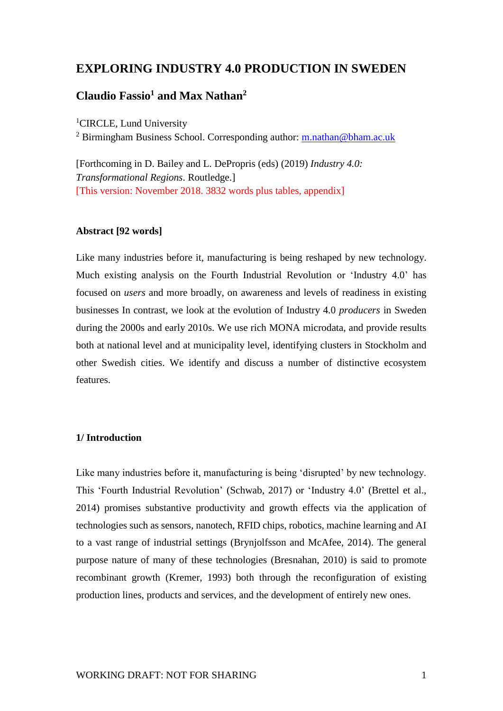# **EXPLORING INDUSTRY 4.0 PRODUCTION IN SWEDEN**

# **Claudio Fassio<sup>1</sup> and Max Nathan<sup>2</sup>**

<sup>1</sup>CIRCLE, Lund University

<sup>2</sup> Birmingham Business School. Corresponding author: [m.nathan@bham.ac.uk](mailto:m.nathan@bham.ac.uk)

[Forthcoming in D. Bailey and L. DePropris (eds) (2019) *Industry 4.0: Transformational Regions*. Routledge.] [This version: November 2018. 3832 words plus tables, appendix]

### **Abstract [92 words]**

Like many industries before it, manufacturing is being reshaped by new technology. Much existing analysis on the Fourth Industrial Revolution or 'Industry 4.0' has focused on *users* and more broadly, on awareness and levels of readiness in existing businesses In contrast, we look at the evolution of Industry 4.0 *producers* in Sweden during the 2000s and early 2010s. We use rich MONA microdata, and provide results both at national level and at municipality level, identifying clusters in Stockholm and other Swedish cities. We identify and discuss a number of distinctive ecosystem features.

## **1/ Introduction**

Like many industries before it, manufacturing is being 'disrupted' by new technology. This 'Fourth Industrial Revolution' (Schwab, 2017) or 'Industry 4.0' (Brettel et al., 2014) promises substantive productivity and growth effects via the application of technologies such as sensors, nanotech, RFID chips, robotics, machine learning and AI to a vast range of industrial settings (Brynjolfsson and McAfee, 2014). The general purpose nature of many of these technologies (Bresnahan, 2010) is said to promote recombinant growth (Kremer, 1993) both through the reconfiguration of existing production lines, products and services, and the development of entirely new ones.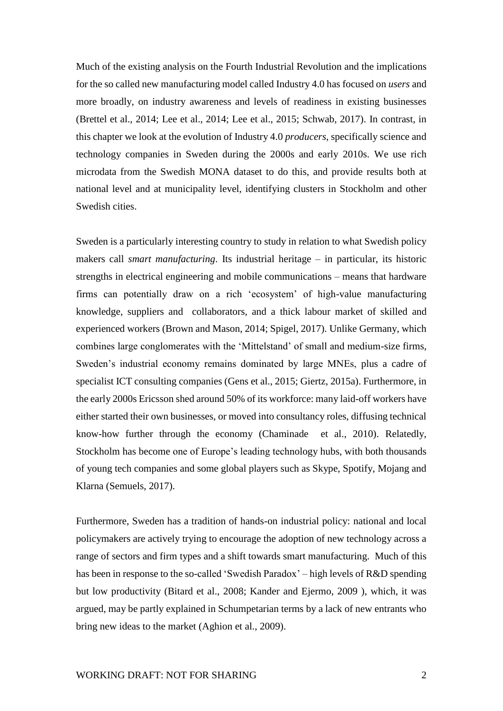Much of the existing analysis on the Fourth Industrial Revolution and the implications for the so called new manufacturing model called Industry 4.0 has focused on *users* and more broadly, on industry awareness and levels of readiness in existing businesses (Brettel et al., 2014; Lee et al., 2014; Lee et al., 2015; Schwab, 2017). In contrast, in this chapter we look at the evolution of Industry 4.0 *producers*, specifically science and technology companies in Sweden during the 2000s and early 2010s. We use rich microdata from the Swedish MONA dataset to do this, and provide results both at national level and at municipality level, identifying clusters in Stockholm and other Swedish cities.

Sweden is a particularly interesting country to study in relation to what Swedish policy makers call *smart manufacturing*. Its industrial heritage – in particular, its historic strengths in electrical engineering and mobile communications – means that hardware firms can potentially draw on a rich 'ecosystem' of high-value manufacturing knowledge, suppliers and collaborators, and a thick labour market of skilled and experienced workers (Brown and Mason, 2014; Spigel, 2017). Unlike Germany, which combines large conglomerates with the 'Mittelstand' of small and medium-size firms, Sweden's industrial economy remains dominated by large MNEs, plus a cadre of specialist ICT consulting companies (Gens et al., 2015; Giertz, 2015a). Furthermore, in the early 2000s Ericsson shed around 50% of its workforce: many laid-off workers have either started their own businesses, or moved into consultancy roles, diffusing technical know-how further through the economy (Chaminade et al., 2010). Relatedly, Stockholm has become one of Europe's leading technology hubs, with both thousands of young tech companies and some global players such as Skype, Spotify, Mojang and Klarna (Semuels, 2017).

Furthermore, Sweden has a tradition of hands-on industrial policy: national and local policymakers are actively trying to encourage the adoption of new technology across a range of sectors and firm types and a shift towards smart manufacturing. Much of this has been in response to the so-called 'Swedish Paradox' – high levels of R&D spending but low productivity (Bitard et al., 2008; Kander and Ejermo, 2009 ), which, it was argued, may be partly explained in Schumpetarian terms by a lack of new entrants who bring new ideas to the market (Aghion et al., 2009).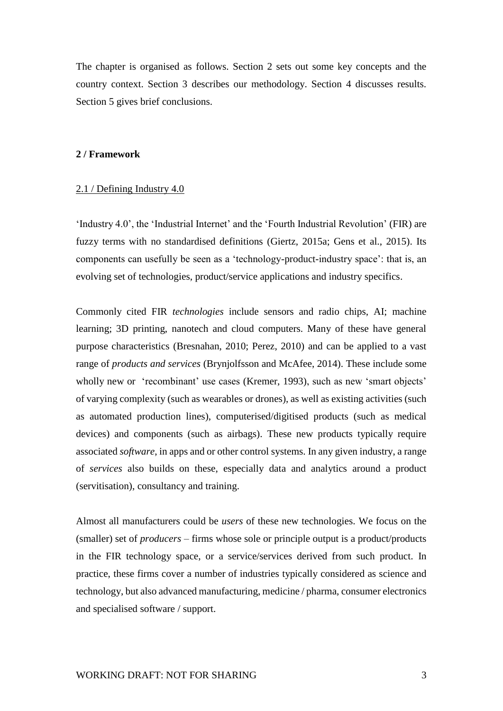The chapter is organised as follows. Section 2 sets out some key concepts and the country context. Section 3 describes our methodology. Section 4 discusses results. Section 5 gives brief conclusions.

#### **2 / Framework**

#### 2.1 / Defining Industry 4.0

'Industry 4.0', the 'Industrial Internet' and the 'Fourth Industrial Revolution' (FIR) are fuzzy terms with no standardised definitions (Giertz, 2015a; Gens et al., 2015). Its components can usefully be seen as a 'technology-product-industry space': that is, an evolving set of technologies, product/service applications and industry specifics.

Commonly cited FIR *technologies* include sensors and radio chips, AI; machine learning; 3D printing, nanotech and cloud computers. Many of these have general purpose characteristics (Bresnahan, 2010; Perez, 2010) and can be applied to a vast range of *products and services* (Brynjolfsson and McAfee, 2014). These include some wholly new or 'recombinant' use cases (Kremer, 1993), such as new 'smart objects' of varying complexity (such as wearables or drones), as well as existing activities (such as automated production lines), computerised/digitised products (such as medical devices) and components (such as airbags). These new products typically require associated *software*, in apps and or other control systems. In any given industry, a range of *services* also builds on these, especially data and analytics around a product (servitisation), consultancy and training.

Almost all manufacturers could be *users* of these new technologies. We focus on the (smaller) set of *producers* – firms whose sole or principle output is a product/products in the FIR technology space, or a service/services derived from such product. In practice, these firms cover a number of industries typically considered as science and technology, but also advanced manufacturing, medicine / pharma, consumer electronics and specialised software / support.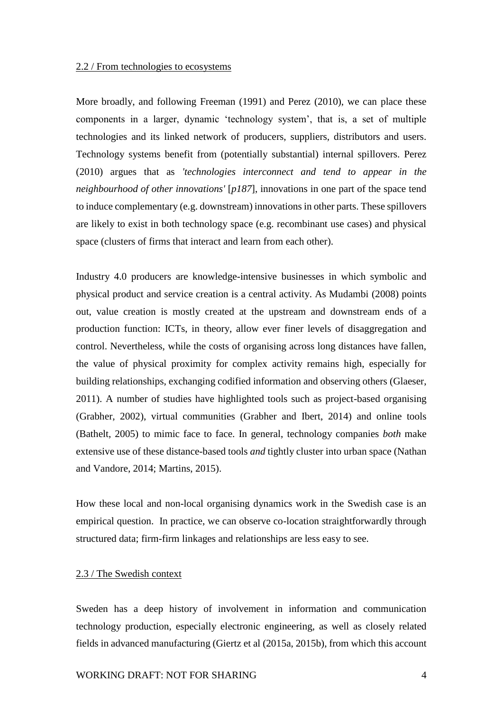#### 2.2 / From technologies to ecosystems

More broadly, and following Freeman (1991) and Perez (2010), we can place these components in a larger, dynamic 'technology system', that is, a set of multiple technologies and its linked network of producers, suppliers, distributors and users. Technology systems benefit from (potentially substantial) internal spillovers. Perez (2010) argues that as *'technologies interconnect and tend to appear in the neighbourhood of other innovations'* [*p187*], innovations in one part of the space tend to induce complementary (e.g. downstream) innovations in other parts. These spillovers are likely to exist in both technology space (e.g. recombinant use cases) and physical space (clusters of firms that interact and learn from each other).

Industry 4.0 producers are knowledge-intensive businesses in which symbolic and physical product and service creation is a central activity. As Mudambi (2008) points out, value creation is mostly created at the upstream and downstream ends of a production function: ICTs, in theory, allow ever finer levels of disaggregation and control. Nevertheless, while the costs of organising across long distances have fallen, the value of physical proximity for complex activity remains high, especially for building relationships, exchanging codified information and observing others (Glaeser, 2011). A number of studies have highlighted tools such as project-based organising (Grabher, 2002), virtual communities (Grabher and Ibert, 2014) and online tools (Bathelt, 2005) to mimic face to face. In general, technology companies *both* make extensive use of these distance-based tools *and* tightly cluster into urban space (Nathan and Vandore, 2014; Martins, 2015).

How these local and non-local organising dynamics work in the Swedish case is an empirical question. In practice, we can observe co-location straightforwardly through structured data; firm-firm linkages and relationships are less easy to see.

## 2.3 / The Swedish context

Sweden has a deep history of involvement in information and communication technology production, especially electronic engineering, as well as closely related fields in advanced manufacturing (Giertz et al (2015a, 2015b), from which this account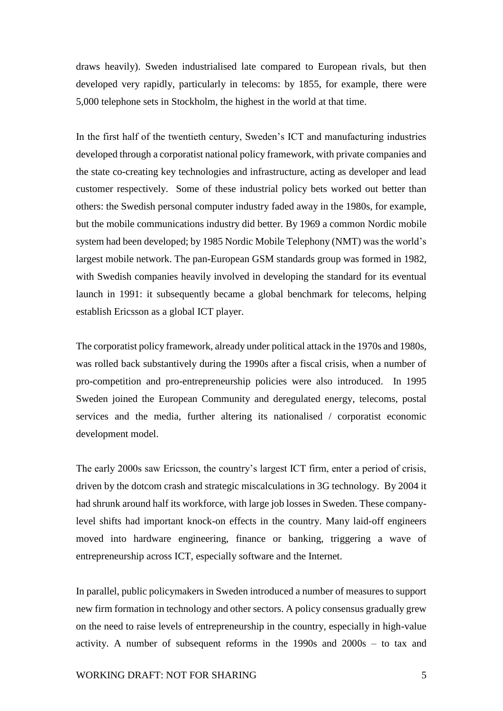draws heavily). Sweden industrialised late compared to European rivals, but then developed very rapidly, particularly in telecoms: by 1855, for example, there were 5,000 telephone sets in Stockholm, the highest in the world at that time.

In the first half of the twentieth century, Sweden's ICT and manufacturing industries developed through a corporatist national policy framework, with private companies and the state co-creating key technologies and infrastructure, acting as developer and lead customer respectively. Some of these industrial policy bets worked out better than others: the Swedish personal computer industry faded away in the 1980s, for example, but the mobile communications industry did better. By 1969 a common Nordic mobile system had been developed; by 1985 Nordic Mobile Telephony (NMT) was the world's largest mobile network. The pan-European GSM standards group was formed in 1982, with Swedish companies heavily involved in developing the standard for its eventual launch in 1991: it subsequently became a global benchmark for telecoms, helping establish Ericsson as a global ICT player.

The corporatist policy framework, already under political attack in the 1970s and 1980s, was rolled back substantively during the 1990s after a fiscal crisis, when a number of pro-competition and pro-entrepreneurship policies were also introduced. In 1995 Sweden joined the European Community and deregulated energy, telecoms, postal services and the media, further altering its nationalised / corporatist economic development model.

The early 2000s saw Ericsson, the country's largest ICT firm, enter a period of crisis, driven by the dotcom crash and strategic miscalculations in 3G technology. By 2004 it had shrunk around half its workforce, with large job losses in Sweden. These companylevel shifts had important knock-on effects in the country. Many laid-off engineers moved into hardware engineering, finance or banking, triggering a wave of entrepreneurship across ICT, especially software and the Internet.

In parallel, public policymakers in Sweden introduced a number of measures to support new firm formation in technology and other sectors. A policy consensus gradually grew on the need to raise levels of entrepreneurship in the country, especially in high-value activity. A number of subsequent reforms in the 1990s and 2000s – to tax and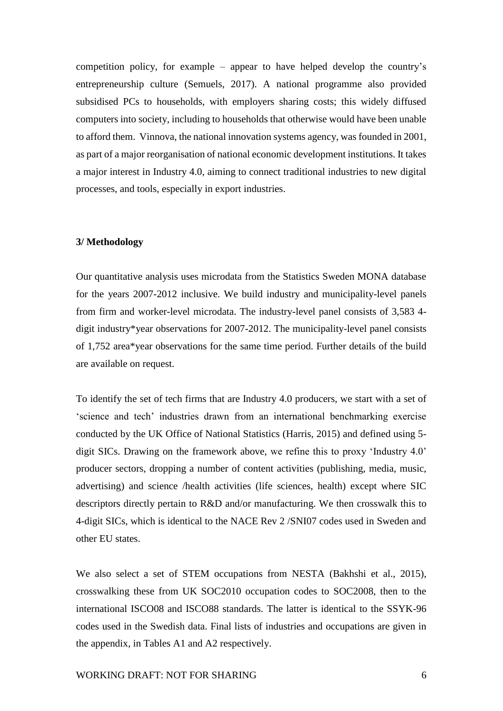competition policy, for example – appear to have helped develop the country's entrepreneurship culture (Semuels, 2017). A national programme also provided subsidised PCs to households, with employers sharing costs; this widely diffused computers into society, including to households that otherwise would have been unable to afford them. Vinnova, the national innovation systems agency, was founded in 2001, as part of a major reorganisation of national economic development institutions. It takes a major interest in Industry 4.0, aiming to connect traditional industries to new digital processes, and tools, especially in export industries.

#### **3/ Methodology**

Our quantitative analysis uses microdata from the Statistics Sweden MONA database for the years 2007-2012 inclusive. We build industry and municipality-level panels from firm and worker-level microdata. The industry-level panel consists of 3,583 4 digit industry\*year observations for 2007-2012. The municipality-level panel consists of 1,752 area\*year observations for the same time period. Further details of the build are available on request.

To identify the set of tech firms that are Industry 4.0 producers, we start with a set of 'science and tech' industries drawn from an international benchmarking exercise conducted by the UK Office of National Statistics (Harris, 2015) and defined using 5 digit SICs. Drawing on the framework above, we refine this to proxy 'Industry 4.0' producer sectors, dropping a number of content activities (publishing, media, music, advertising) and science /health activities (life sciences, health) except where SIC descriptors directly pertain to R&D and/or manufacturing. We then crosswalk this to 4-digit SICs, which is identical to the NACE Rev 2 /SNI07 codes used in Sweden and other EU states.

We also select a set of STEM occupations from NESTA (Bakhshi et al., 2015), crosswalking these from UK SOC2010 occupation codes to SOC2008, then to the international ISCO08 and ISCO88 standards. The latter is identical to the SSYK-96 codes used in the Swedish data. Final lists of industries and occupations are given in the appendix, in Tables A1 and A2 respectively.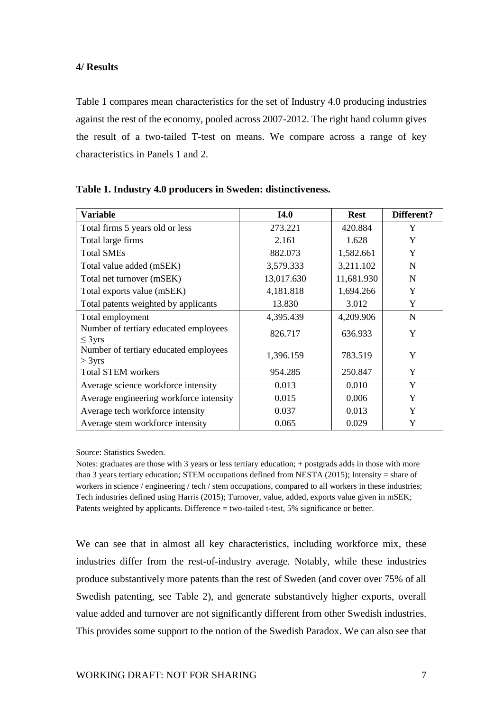## **4/ Results**

Table 1 compares mean characteristics for the set of Industry 4.0 producing industries against the rest of the economy, pooled across 2007-2012. The right hand column gives the result of a two-tailed T-test on means. We compare across a range of key characteristics in Panels 1 and 2.

| <b>Variable</b>                                      | <b>I4.0</b> | <b>Rest</b> | Different? |
|------------------------------------------------------|-------------|-------------|------------|
| Total firms 5 years old or less                      | 273.221     | 420.884     | Y          |
| Total large firms                                    | 2.161       | 1.628       | Y          |
| <b>Total SMEs</b>                                    | 882.073     | 1,582.661   | Y          |
| Total value added (mSEK)                             | 3,579.333   | 3,211.102   | N          |
| Total net turnover (mSEK)                            | 13,017.630  | 11,681.930  | N          |
| Total exports value (mSEK)                           | 4,181.818   | 1,694.266   | Y          |
| Total patents weighted by applicants                 | 13.830      | 3.012       | Y          |
| Total employment                                     | 4,395.439   | 4,209.906   | N          |
| Number of tertiary educated employees<br>$\leq$ 3yrs | 826.717     | 636.933     | Y          |
| Number of tertiary educated employees<br>$>$ 3yrs    | 1,396.159   | 783.519     | Y          |
| <b>Total STEM workers</b>                            | 954.285     | 250.847     | Y          |
| Average science workforce intensity                  | 0.013       | 0.010       | Y          |
| Average engineering workforce intensity              | 0.015       | 0.006       | Y          |
| Average tech workforce intensity                     | 0.037       | 0.013       | Y          |
| Average stem workforce intensity                     | 0.065       | 0.029       | Y          |

Source: Statistics Sweden.

Notes: graduates are those with 3 years or less tertiary education; + postgrads adds in those with more than 3 years tertiary education; STEM occupations defined from NESTA (2015); Intensity = share of workers in science / engineering / tech / stem occupations, compared to all workers in these industries; Tech industries defined using Harris (2015); Turnover, value, added, exports value given in mSEK; Patents weighted by applicants. Difference = two-tailed t-test, 5% significance or better.

We can see that in almost all key characteristics, including workforce mix, these industries differ from the rest-of-industry average. Notably, while these industries produce substantively more patents than the rest of Sweden (and cover over 75% of all Swedish patenting, see Table 2), and generate substantively higher exports, overall value added and turnover are not significantly different from other Swedish industries. This provides some support to the notion of the Swedish Paradox. We can also see that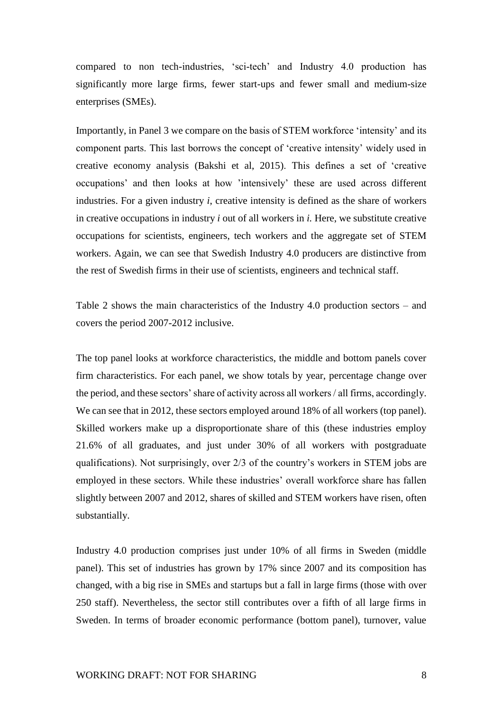compared to non tech-industries, 'sci-tech' and Industry 4.0 production has significantly more large firms, fewer start-ups and fewer small and medium-size enterprises (SMEs).

Importantly, in Panel 3 we compare on the basis of STEM workforce 'intensity' and its component parts. This last borrows the concept of 'creative intensity' widely used in creative economy analysis (Bakshi et al, 2015). This defines a set of 'creative occupations' and then looks at how 'intensively' these are used across different industries. For a given industry *i*, creative intensity is defined as the share of workers in creative occupations in industry *i* out of all workers in *i.* Here, we substitute creative occupations for scientists, engineers, tech workers and the aggregate set of STEM workers. Again, we can see that Swedish Industry 4.0 producers are distinctive from the rest of Swedish firms in their use of scientists, engineers and technical staff.

Table 2 shows the main characteristics of the Industry 4.0 production sectors – and covers the period 2007-2012 inclusive.

The top panel looks at workforce characteristics, the middle and bottom panels cover firm characteristics. For each panel, we show totals by year, percentage change over the period, and these sectors' share of activity across all workers / all firms, accordingly. We can see that in 2012, these sectors employed around 18% of all workers (top panel). Skilled workers make up a disproportionate share of this (these industries employ 21.6% of all graduates, and just under 30% of all workers with postgraduate qualifications). Not surprisingly, over 2/3 of the country's workers in STEM jobs are employed in these sectors. While these industries' overall workforce share has fallen slightly between 2007 and 2012, shares of skilled and STEM workers have risen, often substantially.

Industry 4.0 production comprises just under 10% of all firms in Sweden (middle panel). This set of industries has grown by 17% since 2007 and its composition has changed, with a big rise in SMEs and startups but a fall in large firms (those with over 250 staff). Nevertheless, the sector still contributes over a fifth of all large firms in Sweden. In terms of broader economic performance (bottom panel), turnover, value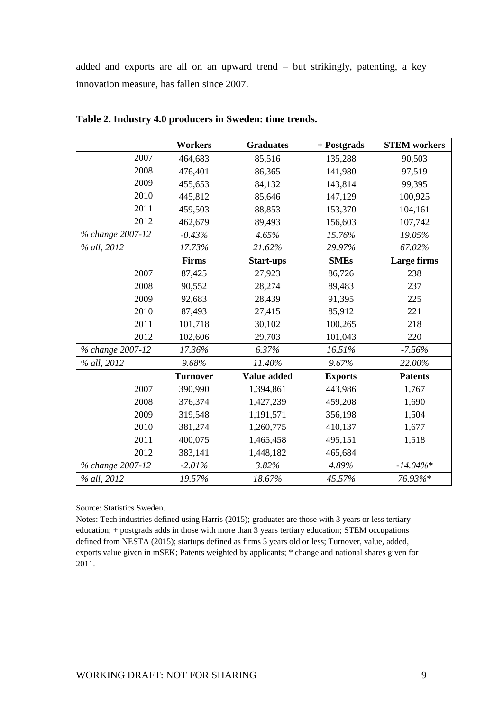added and exports are all on an upward trend – but strikingly, patenting, a key innovation measure, has fallen since 2007.

|                  | <b>Workers</b>  | <b>Graduates</b> | + Postgrads    | <b>STEM</b> workers |
|------------------|-----------------|------------------|----------------|---------------------|
| 2007             | 464,683         | 85,516           | 135,288        | 90,503              |
| 2008             | 476,401         | 86,365           | 141,980        | 97,519              |
| 2009             | 455,653         | 84,132           | 143,814        | 99,395              |
| 2010             | 445,812         | 85,646           | 147,129        | 100,925             |
| 2011             | 459,503         | 88,853           | 153,370        | 104,161             |
| 2012             | 462,679         | 89,493           | 156,603        | 107,742             |
| % change 2007-12 | $-0.43%$        | 4.65%            | 15.76%         | 19.05%              |
| % all, 2012      | 17.73%          | 21.62%           | 29.97%         | 67.02%              |
|                  | Firms           | <b>Start-ups</b> | <b>SMEs</b>    | Large firms         |
| 2007             | 87,425          | 27,923           | 86,726         | 238                 |
| 2008             | 90,552          | 28,274           | 89,483         | 237                 |
| 2009             | 92,683          | 28,439           | 91,395         | 225                 |
| 2010             | 87,493          | 27,415           | 85,912         | 221                 |
| 2011             | 101,718         | 30,102           | 100,265        | 218                 |
| 2012             | 102,606         | 29,703           | 101,043        | 220                 |
| % change 2007-12 | 17.36%          | 6.37%            | 16.51%         | $-7.56%$            |
| % all, 2012      | 9.68%           | 11.40%           | 9.67%          | 22.00%              |
|                  | <b>Turnover</b> | Value added      | <b>Exports</b> | <b>Patents</b>      |
| 2007             | 390,990         | 1,394,861        | 443,986        | 1,767               |
| 2008             | 376,374         | 1,427,239        | 459,208        | 1,690               |
| 2009             | 319,548         | 1,191,571        | 356,198        | 1,504               |
| 2010             | 381,274         | 1,260,775        | 410,137        | 1,677               |
| 2011             | 400,075         | 1,465,458        | 495,151        | 1,518               |
| 2012             | 383,141         | 1,448,182        | 465,684        |                     |
| % change 2007-12 | $-2.01%$        | 3.82%            | 4.89%          | $-14.04\%*$         |
| % all, 2012      | 19.57%          | 18.67%           | 45.57%         | 76.93%*             |

**Table 2. Industry 4.0 producers in Sweden: time trends.** 

Source: Statistics Sweden.

Notes: Tech industries defined using Harris (2015); graduates are those with 3 years or less tertiary education; + postgrads adds in those with more than 3 years tertiary education; STEM occupations defined from NESTA (2015); startups defined as firms 5 years old or less; Turnover, value, added, exports value given in mSEK; Patents weighted by applicants; \* change and national shares given for 2011.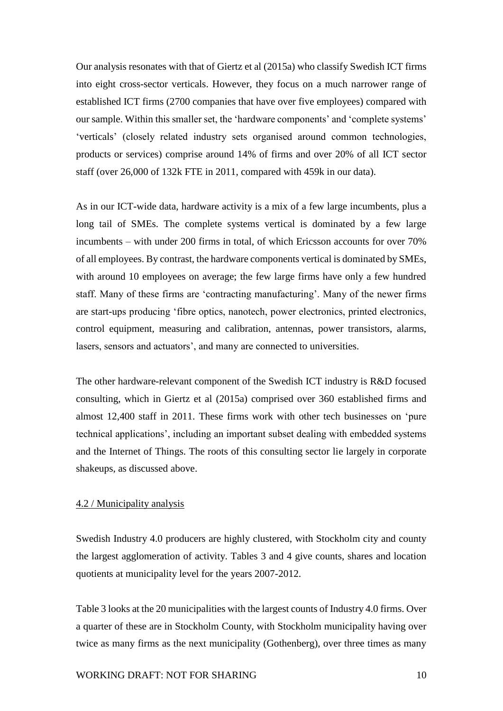Our analysis resonates with that of Giertz et al (2015a) who classify Swedish ICT firms into eight cross-sector verticals. However, they focus on a much narrower range of established ICT firms (2700 companies that have over five employees) compared with our sample. Within this smaller set, the 'hardware components' and 'complete systems' 'verticals' (closely related industry sets organised around common technologies, products or services) comprise around 14% of firms and over 20% of all ICT sector staff (over 26,000 of 132k FTE in 2011, compared with 459k in our data).

As in our ICT-wide data, hardware activity is a mix of a few large incumbents, plus a long tail of SMEs. The complete systems vertical is dominated by a few large incumbents – with under 200 firms in total, of which Ericsson accounts for over 70% of all employees. By contrast, the hardware components vertical is dominated by SMEs, with around 10 employees on average; the few large firms have only a few hundred staff. Many of these firms are 'contracting manufacturing'. Many of the newer firms are start-ups producing 'fibre optics, nanotech, power electronics, printed electronics, control equipment, measuring and calibration, antennas, power transistors, alarms, lasers, sensors and actuators', and many are connected to universities.

The other hardware-relevant component of the Swedish ICT industry is R&D focused consulting, which in Giertz et al (2015a) comprised over 360 established firms and almost 12,400 staff in 2011. These firms work with other tech businesses on 'pure technical applications', including an important subset dealing with embedded systems and the Internet of Things. The roots of this consulting sector lie largely in corporate shakeups, as discussed above.

## 4.2 / Municipality analysis

Swedish Industry 4.0 producers are highly clustered, with Stockholm city and county the largest agglomeration of activity. Tables 3 and 4 give counts, shares and location quotients at municipality level for the years 2007-2012.

Table 3 looks at the 20 municipalities with the largest counts of Industry 4.0 firms. Over a quarter of these are in Stockholm County, with Stockholm municipality having over twice as many firms as the next municipality (Gothenberg), over three times as many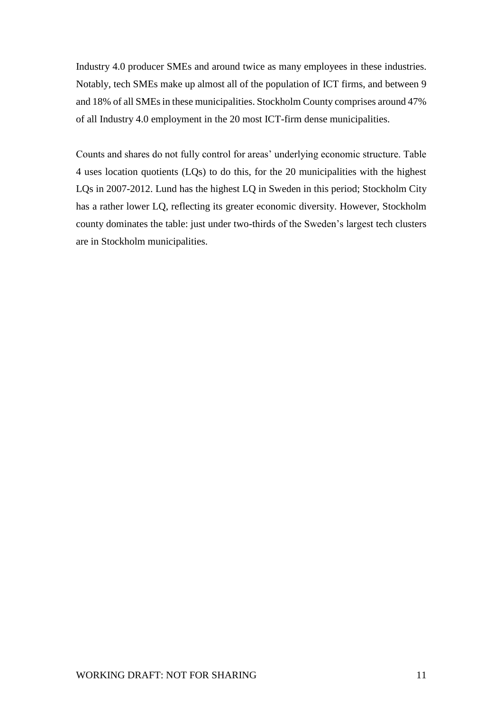Industry 4.0 producer SMEs and around twice as many employees in these industries. Notably, tech SMEs make up almost all of the population of ICT firms, and between 9 and 18% of all SMEs in these municipalities. Stockholm County comprises around 47% of all Industry 4.0 employment in the 20 most ICT-firm dense municipalities.

Counts and shares do not fully control for areas' underlying economic structure. Table 4 uses location quotients (LQs) to do this, for the 20 municipalities with the highest LQs in 2007-2012. Lund has the highest LQ in Sweden in this period; Stockholm City has a rather lower LQ, reflecting its greater economic diversity. However, Stockholm county dominates the table: just under two-thirds of the Sweden's largest tech clusters are in Stockholm municipalities.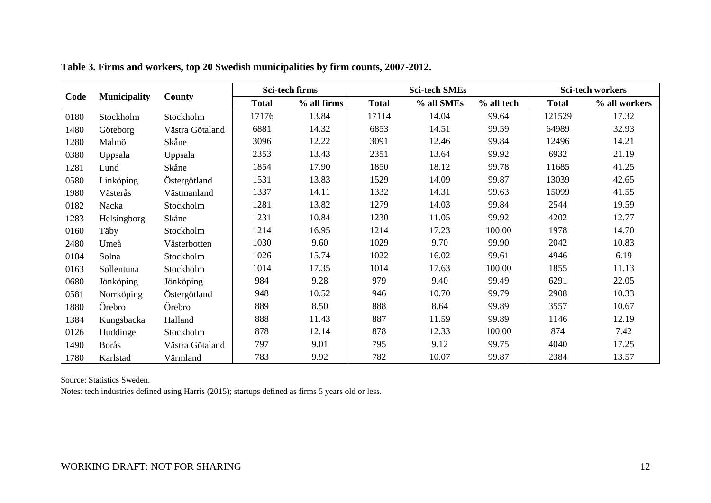|      |                     |                 |              | <b>Sci-tech firms</b> |              | <b>Sci-tech SMEs</b> |            |              | <b>Sci-tech workers</b> |
|------|---------------------|-----------------|--------------|-----------------------|--------------|----------------------|------------|--------------|-------------------------|
| Code | <b>Municipality</b> | County          | <b>Total</b> | % all firms           | <b>Total</b> | % all SMEs           | % all tech | <b>Total</b> | % all workers           |
| 0180 | Stockholm           | Stockholm       | 17176        | 13.84                 | 17114        | 14.04                | 99.64      | 121529       | 17.32                   |
| 1480 | Göteborg            | Västra Götaland | 6881         | 14.32                 | 6853         | 14.51                | 99.59      | 64989        | 32.93                   |
| 1280 | Malmö               | Skåne           | 3096         | 12.22                 | 3091         | 12.46                | 99.84      | 12496        | 14.21                   |
| 0380 | Uppsala             | Uppsala         | 2353         | 13.43                 | 2351         | 13.64                | 99.92      | 6932         | 21.19                   |
| 1281 | Lund                | Skåne           | 1854         | 17.90                 | 1850         | 18.12                | 99.78      | 11685        | 41.25                   |
| 0580 | Linköping           | Östergötland    | 1531         | 13.83                 | 1529         | 14.09                | 99.87      | 13039        | 42.65                   |
| 1980 | Västerås            | Västmanland     | 1337         | 14.11                 | 1332         | 14.31                | 99.63      | 15099        | 41.55                   |
| 0182 | Nacka               | Stockholm       | 1281         | 13.82                 | 1279         | 14.03                | 99.84      | 2544         | 19.59                   |
| 1283 | Helsingborg         | Skåne           | 1231         | 10.84                 | 1230         | 11.05                | 99.92      | 4202         | 12.77                   |
| 0160 | Täby                | Stockholm       | 1214         | 16.95                 | 1214         | 17.23                | 100.00     | 1978         | 14.70                   |
| 2480 | Umeå                | Västerbotten    | 1030         | 9.60                  | 1029         | 9.70                 | 99.90      | 2042         | 10.83                   |
| 0184 | Solna               | Stockholm       | 1026         | 15.74                 | 1022         | 16.02                | 99.61      | 4946         | 6.19                    |
| 0163 | Sollentuna          | Stockholm       | 1014         | 17.35                 | 1014         | 17.63                | 100.00     | 1855         | 11.13                   |
| 0680 | Jönköping           | Jönköping       | 984          | 9.28                  | 979          | 9.40                 | 99.49      | 6291         | 22.05                   |
| 0581 | Norrköping          | Östergötland    | 948          | 10.52                 | 946          | 10.70                | 99.79      | 2908         | 10.33                   |
| 1880 | Örebro              | Örebro          | 889          | 8.50                  | 888          | 8.64                 | 99.89      | 3557         | 10.67                   |
| 1384 | Kungsbacka          | Halland         | 888          | 11.43                 | 887          | 11.59                | 99.89      | 1146         | 12.19                   |
| 0126 | Huddinge            | Stockholm       | 878          | 12.14                 | 878          | 12.33                | 100.00     | 874          | 7.42                    |
| 1490 | Borås               | Västra Götaland | 797          | 9.01                  | 795          | 9.12                 | 99.75      | 4040         | 17.25                   |
| 1780 | Karlstad            | Värmland        | 783          | 9.92                  | 782          | 10.07                | 99.87      | 2384         | 13.57                   |

**Table 3. Firms and workers, top 20 Swedish municipalities by firm counts, 2007-2012.** 

Source: Statistics Sweden.

Notes: tech industries defined using Harris (2015); startups defined as firms 5 years old or less.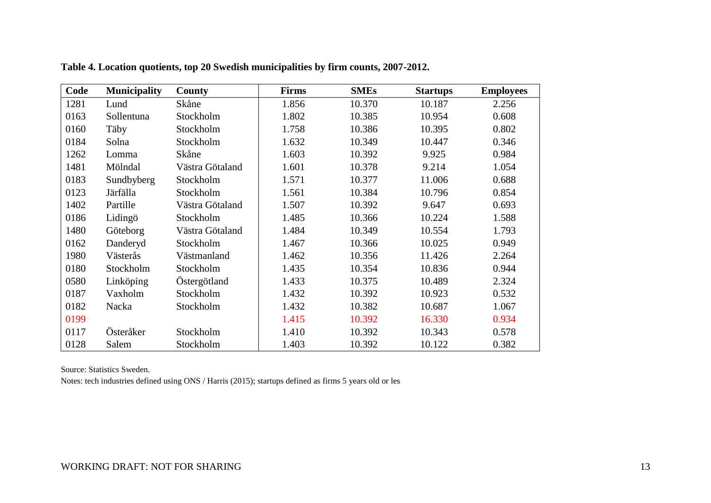| Code | <b>Municipality</b> | <b>County</b>   | <b>Firms</b> | <b>SMEs</b> | <b>Startups</b> | <b>Employees</b> |
|------|---------------------|-----------------|--------------|-------------|-----------------|------------------|
| 1281 | Lund                | Skåne           | 1.856        | 10.370      | 10.187          | 2.256            |
| 0163 | Sollentuna          | Stockholm       | 1.802        | 10.385      | 10.954          | 0.608            |
| 0160 | Täby                | Stockholm       | 1.758        | 10.386      | 10.395          | 0.802            |
| 0184 | Solna               | Stockholm       | 1.632        | 10.349      | 10.447          | 0.346            |
| 1262 | Lomma               | Skåne           | 1.603        | 10.392      | 9.925           | 0.984            |
| 1481 | Mölndal             | Västra Götaland | 1.601        | 10.378      | 9.214           | 1.054            |
| 0183 | Sundbyberg          | Stockholm       | 1.571        | 10.377      | 11.006          | 0.688            |
| 0123 | Järfälla            | Stockholm       | 1.561        | 10.384      | 10.796          | 0.854            |
| 1402 | Partille            | Västra Götaland | 1.507        | 10.392      | 9.647           | 0.693            |
| 0186 | Lidingö             | Stockholm       | 1.485        | 10.366      | 10.224          | 1.588            |
| 1480 | Göteborg            | Västra Götaland | 1.484        | 10.349      | 10.554          | 1.793            |
| 0162 | Danderyd            | Stockholm       | 1.467        | 10.366      | 10.025          | 0.949            |
| 1980 | Västerås            | Västmanland     | 1.462        | 10.356      | 11.426          | 2.264            |
| 0180 | Stockholm           | Stockholm       | 1.435        | 10.354      | 10.836          | 0.944            |
| 0580 | Linköping           | Östergötland    | 1.433        | 10.375      | 10.489          | 2.324            |
| 0187 | Vaxholm             | Stockholm       | 1.432        | 10.392      | 10.923          | 0.532            |
| 0182 | Nacka               | Stockholm       | 1.432        | 10.382      | 10.687          | 1.067            |
| 0199 |                     |                 | 1.415        | 10.392      | 16.330          | 0.934            |
| 0117 | Österåker           | Stockholm       | 1.410        | 10.392      | 10.343          | 0.578            |
| 0128 | Salem               | Stockholm       | 1.403        | 10.392      | 10.122          | 0.382            |

**Table 4. Location quotients, top 20 Swedish municipalities by firm counts, 2007-2012.**

Source: Statistics Sweden.

Notes: tech industries defined using ONS / Harris (2015); startups defined as firms 5 years old or les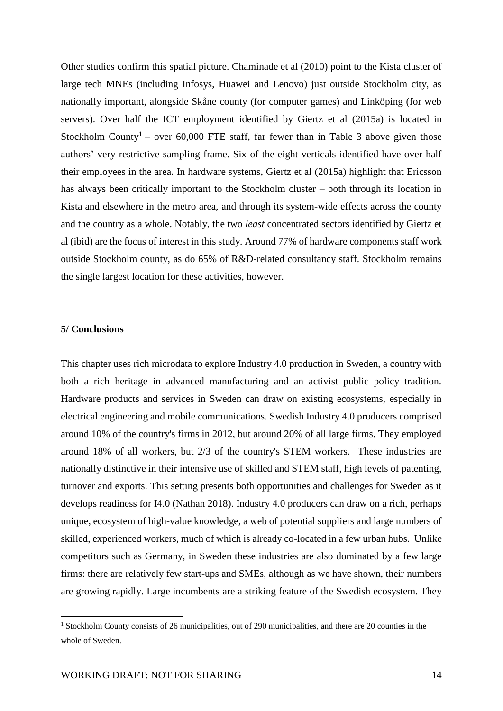Other studies confirm this spatial picture. Chaminade et al (2010) point to the Kista cluster of large tech MNEs (including Infosys, Huawei and Lenovo) just outside Stockholm city, as nationally important, alongside Skåne county (for computer games) and Linköping (for web servers). Over half the ICT employment identified by Giertz et al (2015a) is located in Stockholm County<sup>1</sup> – over 60,000 FTE staff, far fewer than in Table 3 above given those authors' very restrictive sampling frame. Six of the eight verticals identified have over half their employees in the area. In hardware systems, Giertz et al (2015a) highlight that Ericsson has always been critically important to the Stockholm cluster – both through its location in Kista and elsewhere in the metro area, and through its system-wide effects across the county and the country as a whole. Notably, the two *least* concentrated sectors identified by Giertz et al (ibid) are the focus of interest in this study. Around 77% of hardware components staff work outside Stockholm county, as do 65% of R&D-related consultancy staff. Stockholm remains the single largest location for these activities, however.

### **5/ Conclusions**

 $\overline{a}$ 

This chapter uses rich microdata to explore Industry 4.0 production in Sweden, a country with both a rich heritage in advanced manufacturing and an activist public policy tradition. Hardware products and services in Sweden can draw on existing ecosystems, especially in electrical engineering and mobile communications. Swedish Industry 4.0 producers comprised around 10% of the country's firms in 2012, but around 20% of all large firms. They employed around 18% of all workers, but 2/3 of the country's STEM workers. These industries are nationally distinctive in their intensive use of skilled and STEM staff, high levels of patenting, turnover and exports. This setting presents both opportunities and challenges for Sweden as it develops readiness for I4.0 (Nathan 2018). Industry 4.0 producers can draw on a rich, perhaps unique, ecosystem of high-value knowledge, a web of potential suppliers and large numbers of skilled, experienced workers, much of which is already co-located in a few urban hubs. Unlike competitors such as Germany, in Sweden these industries are also dominated by a few large firms: there are relatively few start-ups and SMEs, although as we have shown, their numbers are growing rapidly. Large incumbents are a striking feature of the Swedish ecosystem. They

<sup>&</sup>lt;sup>1</sup> Stockholm County consists of 26 municipalities, out of 290 municipalities, and there are 20 counties in the whole of Sweden.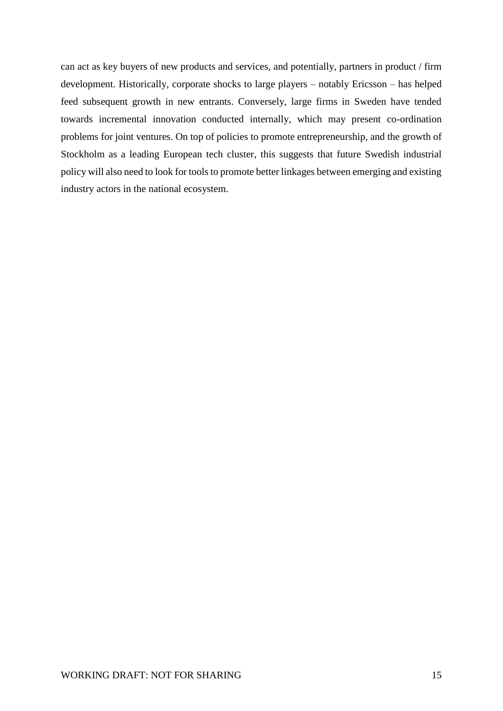can act as key buyers of new products and services, and potentially, partners in product / firm development. Historically, corporate shocks to large players – notably Ericsson – has helped feed subsequent growth in new entrants. Conversely, large firms in Sweden have tended towards incremental innovation conducted internally, which may present co-ordination problems for joint ventures. On top of policies to promote entrepreneurship, and the growth of Stockholm as a leading European tech cluster, this suggests that future Swedish industrial policy will also need to look for tools to promote better linkages between emerging and existing industry actors in the national ecosystem.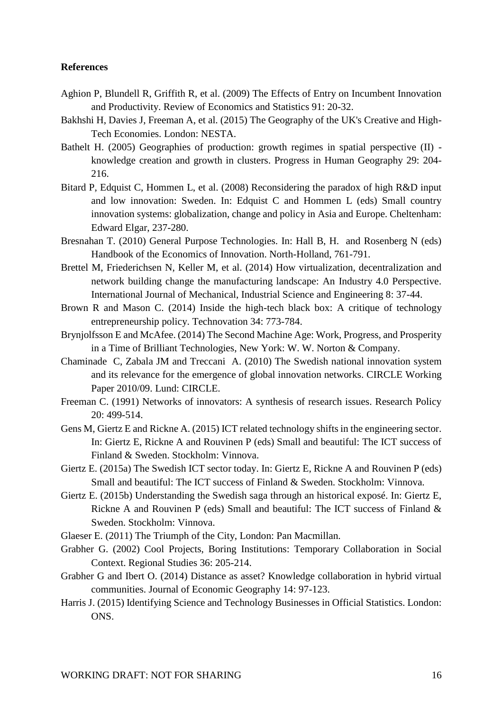# **References**

- Aghion P, Blundell R, Griffith R, et al. (2009) The Effects of Entry on Incumbent Innovation and Productivity. Review of Economics and Statistics 91: 20-32.
- Bakhshi H, Davies J, Freeman A, et al. (2015) The Geography of the UK's Creative and High-Tech Economies. London: NESTA.
- Bathelt H. (2005) Geographies of production: growth regimes in spatial perspective (II) knowledge creation and growth in clusters. Progress in Human Geography 29: 204- 216.
- Bitard P, Edquist C, Hommen L, et al. (2008) Reconsidering the paradox of high R&D input and low innovation: Sweden. In: Edquist C and Hommen L (eds) Small country innovation systems: globalization, change and policy in Asia and Europe. Cheltenham: Edward Elgar, 237-280.
- Bresnahan T. (2010) General Purpose Technologies. In: Hall B, H. and Rosenberg N (eds) Handbook of the Economics of Innovation. North-Holland, 761-791.
- Brettel M, Friederichsen N, Keller M, et al. (2014) How virtualization, decentralization and network building change the manufacturing landscape: An Industry 4.0 Perspective. International Journal of Mechanical, Industrial Science and Engineering 8: 37-44.
- Brown R and Mason C. (2014) Inside the high-tech black box: A critique of technology entrepreneurship policy. Technovation 34: 773-784.
- Brynjolfsson E and McAfee. (2014) The Second Machine Age: Work, Progress, and Prosperity in a Time of Brilliant Technologies, New York: W. W. Norton & Company.
- Chaminade C, Zabala JM and Treccani A. (2010) The Swedish national innovation system and its relevance for the emergence of global innovation networks. CIRCLE Working Paper 2010/09. Lund: CIRCLE.
- Freeman C. (1991) Networks of innovators: A synthesis of research issues. Research Policy 20: 499-514.
- Gens M, Giertz E and Rickne A. (2015) ICT related technology shifts in the engineering sector. In: Giertz E, Rickne A and Rouvinen P (eds) Small and beautiful: The ICT success of Finland & Sweden. Stockholm: Vinnova.
- Giertz E. (2015a) The Swedish ICT sector today. In: Giertz E, Rickne A and Rouvinen P (eds) Small and beautiful: The ICT success of Finland & Sweden. Stockholm: Vinnova.
- Giertz E. (2015b) Understanding the Swedish saga through an historical exposé. In: Giertz E, Rickne A and Rouvinen P (eds) Small and beautiful: The ICT success of Finland & Sweden. Stockholm: Vinnova.
- Glaeser E. (2011) The Triumph of the City, London: Pan Macmillan.
- Grabher G. (2002) Cool Projects, Boring Institutions: Temporary Collaboration in Social Context. Regional Studies 36: 205-214.
- Grabher G and Ibert O. (2014) Distance as asset? Knowledge collaboration in hybrid virtual communities. Journal of Economic Geography 14: 97-123.
- Harris J. (2015) Identifying Science and Technology Businesses in Official Statistics. London: ONS.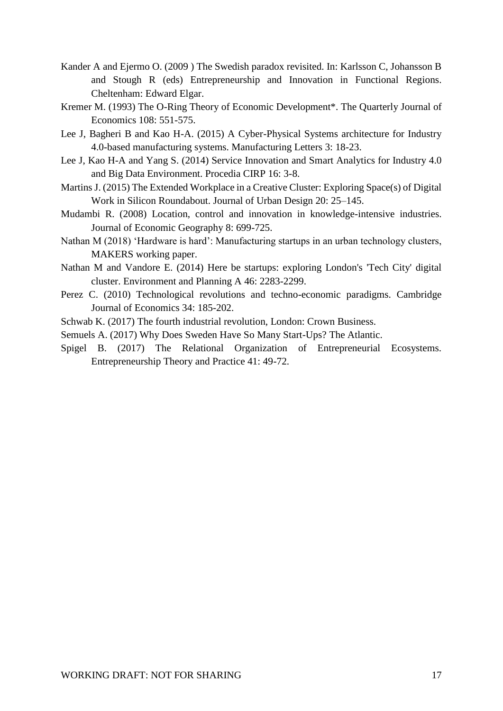- Kander A and Ejermo O. (2009 ) The Swedish paradox revisited. In: Karlsson C, Johansson B and Stough R (eds) Entrepreneurship and Innovation in Functional Regions. Cheltenham: Edward Elgar.
- Kremer M. (1993) The O-Ring Theory of Economic Development\*. The Quarterly Journal of Economics 108: 551-575.
- Lee J, Bagheri B and Kao H-A. (2015) A Cyber-Physical Systems architecture for Industry 4.0-based manufacturing systems. Manufacturing Letters 3: 18-23.
- Lee J, Kao H-A and Yang S. (2014) Service Innovation and Smart Analytics for Industry 4.0 and Big Data Environment. Procedia CIRP 16: 3-8.
- Martins J. (2015) The Extended Workplace in a Creative Cluster: Exploring Space(s) of Digital Work in Silicon Roundabout. Journal of Urban Design 20: 25–145.
- Mudambi R. (2008) Location, control and innovation in knowledge-intensive industries. Journal of Economic Geography 8: 699-725.
- Nathan M (2018) 'Hardware is hard': Manufacturing startups in an urban technology clusters, MAKERS working paper.
- Nathan M and Vandore E. (2014) Here be startups: exploring London's 'Tech City' digital cluster. Environment and Planning A 46: 2283-2299.
- Perez C. (2010) Technological revolutions and techno-economic paradigms. Cambridge Journal of Economics 34: 185-202.
- Schwab K. (2017) The fourth industrial revolution, London: Crown Business.
- Semuels A. (2017) Why Does Sweden Have So Many Start-Ups? The Atlantic.
- Spigel B. (2017) The Relational Organization of Entrepreneurial Ecosystems. Entrepreneurship Theory and Practice 41: 49-72.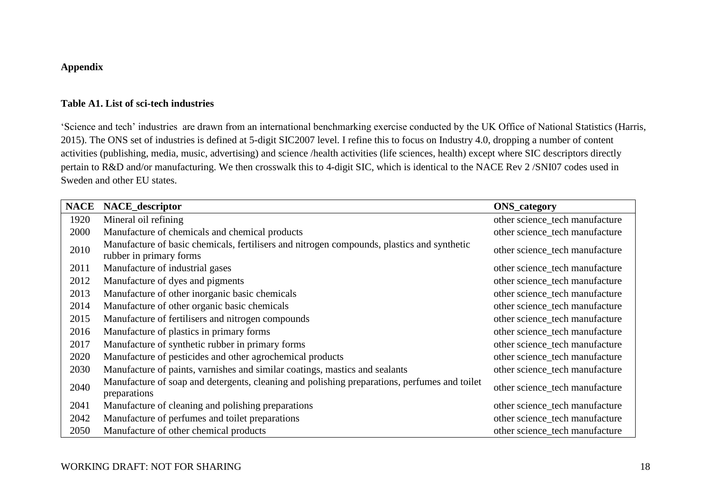# **Appendix**

# **Table A1. List of sci-tech industries**

'Science and tech' industries are drawn from an international benchmarking exercise conducted by the UK Office of National Statistics (Harris, 2015). The ONS set of industries is defined at 5-digit SIC2007 level. I refine this to focus on Industry 4.0, dropping a number of content activities (publishing, media, music, advertising) and science /health activities (life sciences, health) except where SIC descriptors directly pertain to R&D and/or manufacturing. We then crosswalk this to 4-digit SIC, which is identical to the NACE Rev 2 /SNI07 codes used in Sweden and other EU states.

| <b>NACE</b> | <b>NACE_descriptor</b>                                                                                                | <b>ONS_category</b>            |
|-------------|-----------------------------------------------------------------------------------------------------------------------|--------------------------------|
| 1920        | Mineral oil refining                                                                                                  | other science_tech manufacture |
| 2000        | Manufacture of chemicals and chemical products                                                                        | other science_tech manufacture |
| 2010        | Manufacture of basic chemicals, fertilisers and nitrogen compounds, plastics and synthetic<br>rubber in primary forms | other science_tech manufacture |
| 2011        | Manufacture of industrial gases                                                                                       | other science_tech manufacture |
| 2012        | Manufacture of dyes and pigments                                                                                      | other science_tech manufacture |
| 2013        | Manufacture of other inorganic basic chemicals                                                                        | other science_tech manufacture |
| 2014        | Manufacture of other organic basic chemicals                                                                          | other science_tech manufacture |
| 2015        | Manufacture of fertilisers and nitrogen compounds                                                                     | other science_tech manufacture |
| 2016        | Manufacture of plastics in primary forms                                                                              | other science_tech manufacture |
| 2017        | Manufacture of synthetic rubber in primary forms                                                                      | other science_tech manufacture |
| 2020        | Manufacture of pesticides and other agrochemical products                                                             | other science_tech manufacture |
| 2030        | Manufacture of paints, varnishes and similar coatings, mastics and sealants                                           | other science_tech manufacture |
| 2040        | Manufacture of soap and detergents, cleaning and polishing preparations, perfumes and toilet<br>preparations          | other science_tech manufacture |
| 2041        | Manufacture of cleaning and polishing preparations                                                                    | other science_tech manufacture |
| 2042        | Manufacture of perfumes and toilet preparations                                                                       | other science_tech manufacture |
| 2050        | Manufacture of other chemical products                                                                                | other science_tech manufacture |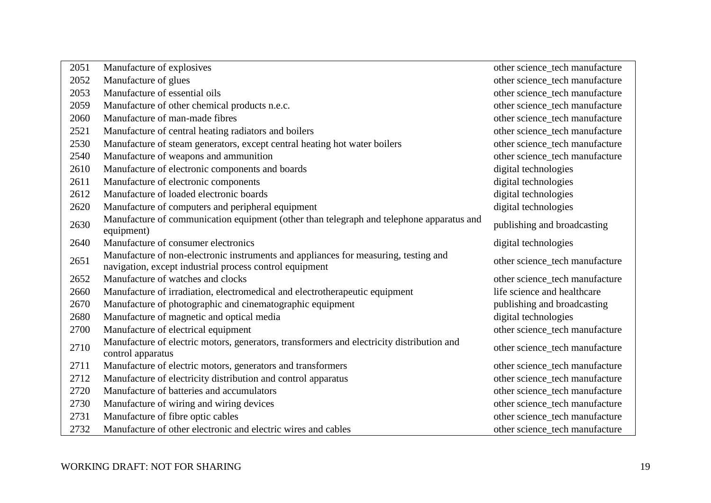| 2051 | Manufacture of explosives                                                                                                                      | other science_tech manufacture |
|------|------------------------------------------------------------------------------------------------------------------------------------------------|--------------------------------|
| 2052 | Manufacture of glues                                                                                                                           | other science_tech manufacture |
| 2053 | Manufacture of essential oils                                                                                                                  | other science_tech manufacture |
| 2059 | Manufacture of other chemical products n.e.c.                                                                                                  | other science_tech manufacture |
| 2060 | Manufacture of man-made fibres                                                                                                                 | other science_tech manufacture |
| 2521 | Manufacture of central heating radiators and boilers                                                                                           | other science_tech manufacture |
| 2530 | Manufacture of steam generators, except central heating hot water boilers                                                                      | other science_tech manufacture |
| 2540 | Manufacture of weapons and ammunition                                                                                                          | other science_tech manufacture |
| 2610 | Manufacture of electronic components and boards                                                                                                | digital technologies           |
| 2611 | Manufacture of electronic components                                                                                                           | digital technologies           |
| 2612 | Manufacture of loaded electronic boards                                                                                                        | digital technologies           |
| 2620 | Manufacture of computers and peripheral equipment                                                                                              | digital technologies           |
| 2630 | Manufacture of communication equipment (other than telegraph and telephone apparatus and<br>equipment)                                         | publishing and broadcasting    |
| 2640 | Manufacture of consumer electronics                                                                                                            | digital technologies           |
| 2651 | Manufacture of non-electronic instruments and appliances for measuring, testing and<br>navigation, except industrial process control equipment | other science_tech manufacture |
| 2652 | Manufacture of watches and clocks                                                                                                              | other science_tech manufacture |
| 2660 | Manufacture of irradiation, electromedical and electrotherapeutic equipment                                                                    | life science and healthcare    |
| 2670 | Manufacture of photographic and cinematographic equipment                                                                                      | publishing and broadcasting    |
| 2680 | Manufacture of magnetic and optical media                                                                                                      | digital technologies           |
| 2700 | Manufacture of electrical equipment                                                                                                            | other science_tech manufacture |
| 2710 | Manufacture of electric motors, generators, transformers and electricity distribution and<br>control apparatus                                 | other science_tech manufacture |
| 2711 | Manufacture of electric motors, generators and transformers                                                                                    | other science_tech manufacture |
| 2712 | Manufacture of electricity distribution and control apparatus                                                                                  | other science_tech manufacture |
| 2720 | Manufacture of batteries and accumulators                                                                                                      | other science_tech manufacture |
| 2730 | Manufacture of wiring and wiring devices                                                                                                       | other science_tech manufacture |
| 2731 | Manufacture of fibre optic cables                                                                                                              | other science_tech manufacture |
| 2732 | Manufacture of other electronic and electric wires and cables                                                                                  | other science_tech manufacture |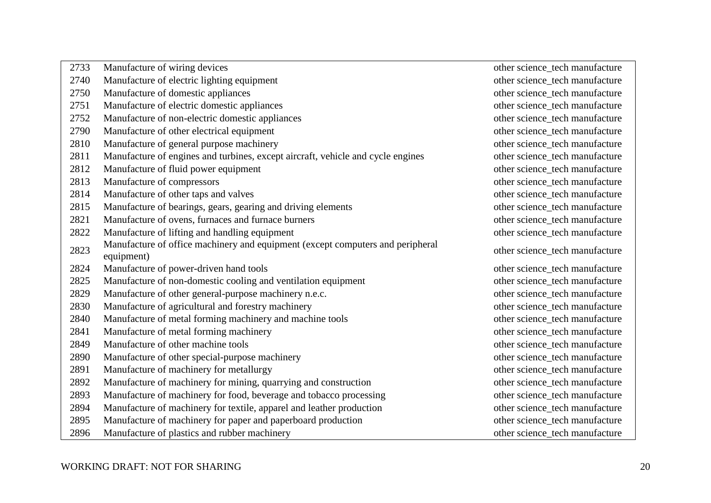| 2733 | Manufacture of wiring devices                                                                | other science_tech manufacture |
|------|----------------------------------------------------------------------------------------------|--------------------------------|
| 2740 | Manufacture of electric lighting equipment                                                   | other science_tech manufacture |
| 2750 | Manufacture of domestic appliances                                                           | other science_tech manufacture |
| 2751 | Manufacture of electric domestic appliances                                                  | other science_tech manufacture |
| 2752 | Manufacture of non-electric domestic appliances                                              | other science_tech manufacture |
| 2790 | Manufacture of other electrical equipment                                                    | other science_tech manufacture |
| 2810 | Manufacture of general purpose machinery                                                     | other science_tech manufacture |
| 2811 | Manufacture of engines and turbines, except aircraft, vehicle and cycle engines              | other science_tech manufacture |
| 2812 | Manufacture of fluid power equipment                                                         | other science_tech manufacture |
| 2813 | Manufacture of compressors                                                                   | other science_tech manufacture |
| 2814 | Manufacture of other taps and valves                                                         | other science_tech manufacture |
| 2815 | Manufacture of bearings, gears, gearing and driving elements                                 | other science_tech manufacture |
| 2821 | Manufacture of ovens, furnaces and furnace burners                                           | other science_tech manufacture |
| 2822 | Manufacture of lifting and handling equipment                                                | other science_tech manufacture |
| 2823 | Manufacture of office machinery and equipment (except computers and peripheral<br>equipment) | other science_tech manufacture |
| 2824 | Manufacture of power-driven hand tools                                                       | other science_tech manufacture |
| 2825 | Manufacture of non-domestic cooling and ventilation equipment                                | other science_tech manufacture |
| 2829 | Manufacture of other general-purpose machinery n.e.c.                                        | other science_tech manufacture |
| 2830 | Manufacture of agricultural and forestry machinery                                           | other science_tech manufacture |
| 2840 | Manufacture of metal forming machinery and machine tools                                     | other science_tech manufacture |
| 2841 | Manufacture of metal forming machinery                                                       | other science_tech manufacture |
| 2849 | Manufacture of other machine tools                                                           | other science_tech manufacture |
| 2890 | Manufacture of other special-purpose machinery                                               | other science_tech manufacture |
| 2891 | Manufacture of machinery for metallurgy                                                      | other science_tech manufacture |
| 2892 | Manufacture of machinery for mining, quarrying and construction                              | other science_tech manufacture |
| 2893 | Manufacture of machinery for food, beverage and tobacco processing                           | other science_tech manufacture |
| 2894 | Manufacture of machinery for textile, apparel and leather production                         | other science_tech manufacture |
| 2895 | Manufacture of machinery for paper and paperboard production                                 | other science_tech manufacture |
| 2896 | Manufacture of plastics and rubber machinery                                                 | other science_tech manufacture |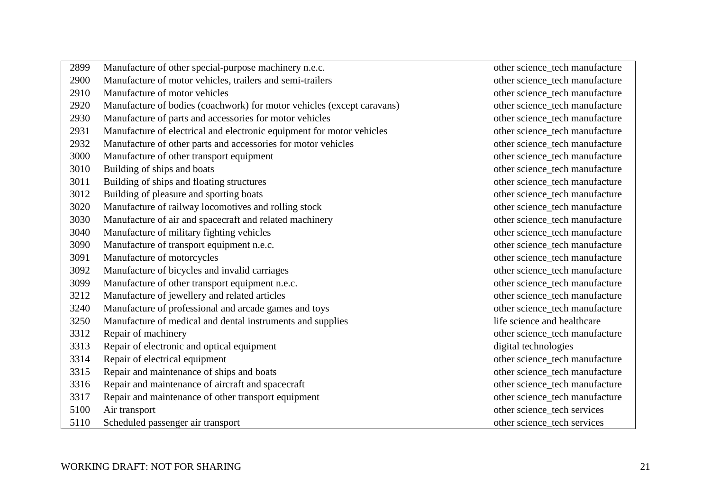| 2899 | Manufacture of other special-purpose machinery n.e.c.                  | other science_tech manufacture |
|------|------------------------------------------------------------------------|--------------------------------|
| 2900 | Manufacture of motor vehicles, trailers and semi-trailers              | other science_tech manufacture |
| 2910 | Manufacture of motor vehicles                                          | other science_tech manufacture |
| 2920 | Manufacture of bodies (coachwork) for motor vehicles (except caravans) | other science_tech manufacture |
| 2930 | Manufacture of parts and accessories for motor vehicles                | other science_tech manufacture |
| 2931 | Manufacture of electrical and electronic equipment for motor vehicles  | other science_tech manufacture |
| 2932 | Manufacture of other parts and accessories for motor vehicles          | other science_tech manufacture |
| 3000 | Manufacture of other transport equipment                               | other science_tech manufacture |
| 3010 | Building of ships and boats                                            | other science_tech manufacture |
| 3011 | Building of ships and floating structures                              | other science_tech manufacture |
| 3012 | Building of pleasure and sporting boats                                | other science_tech manufacture |
| 3020 | Manufacture of railway locomotives and rolling stock                   | other science_tech manufacture |
| 3030 | Manufacture of air and spacecraft and related machinery                | other science_tech manufacture |
| 3040 | Manufacture of military fighting vehicles                              | other science_tech manufacture |
| 3090 | Manufacture of transport equipment n.e.c.                              | other science_tech manufacture |
| 3091 | Manufacture of motorcycles                                             | other science_tech manufacture |
| 3092 | Manufacture of bicycles and invalid carriages                          | other science_tech manufacture |
| 3099 | Manufacture of other transport equipment n.e.c.                        | other science_tech manufacture |
| 3212 | Manufacture of jewellery and related articles                          | other science_tech manufacture |
| 3240 | Manufacture of professional and arcade games and toys                  | other science_tech manufacture |
| 3250 | Manufacture of medical and dental instruments and supplies             | life science and healthcare    |
| 3312 | Repair of machinery                                                    | other science_tech manufacture |
| 3313 | Repair of electronic and optical equipment                             | digital technologies           |
| 3314 | Repair of electrical equipment                                         | other science_tech manufacture |
| 3315 | Repair and maintenance of ships and boats                              | other science_tech manufacture |
| 3316 | Repair and maintenance of aircraft and spacecraft                      | other science_tech manufacture |
| 3317 | Repair and maintenance of other transport equipment                    | other science_tech manufacture |
| 5100 | Air transport                                                          | other science_tech services    |
| 5110 | Scheduled passenger air transport                                      | other science_tech services    |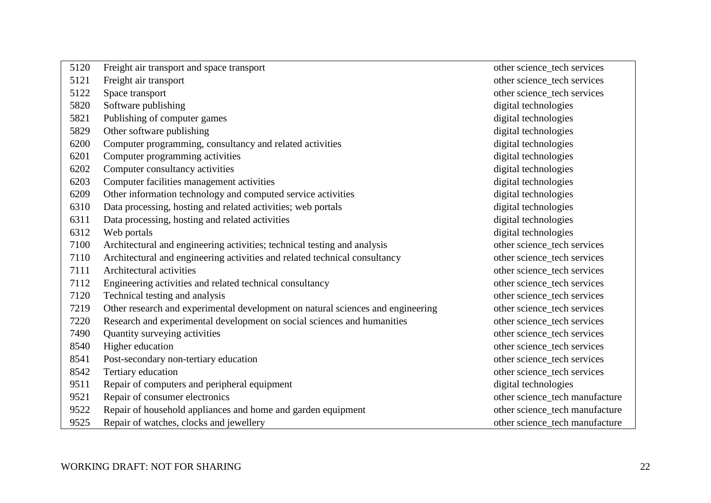| 5120 | Freight air transport and space transport                                       | other science_tech services    |
|------|---------------------------------------------------------------------------------|--------------------------------|
| 5121 | Freight air transport                                                           | other science_tech services    |
| 5122 | Space transport                                                                 | other science_tech services    |
| 5820 | Software publishing                                                             | digital technologies           |
| 5821 | Publishing of computer games                                                    | digital technologies           |
| 5829 | Other software publishing                                                       | digital technologies           |
| 6200 | Computer programming, consultancy and related activities                        | digital technologies           |
| 6201 | Computer programming activities                                                 | digital technologies           |
| 6202 | Computer consultancy activities                                                 | digital technologies           |
| 6203 | Computer facilities management activities                                       | digital technologies           |
| 6209 | Other information technology and computed service activities                    | digital technologies           |
| 6310 | Data processing, hosting and related activities; web portals                    | digital technologies           |
| 6311 | Data processing, hosting and related activities                                 | digital technologies           |
| 6312 | Web portals                                                                     | digital technologies           |
| 7100 | Architectural and engineering activities; technical testing and analysis        | other science_tech services    |
| 7110 | Architectural and engineering activities and related technical consultancy      | other science_tech services    |
| 7111 | Architectural activities                                                        | other science_tech services    |
| 7112 | Engineering activities and related technical consultancy                        | other science_tech services    |
| 7120 | Technical testing and analysis                                                  | other science_tech services    |
| 7219 | Other research and experimental development on natural sciences and engineering | other science_tech services    |
| 7220 | Research and experimental development on social sciences and humanities         | other science_tech services    |
| 7490 | Quantity surveying activities                                                   | other science_tech services    |
| 8540 | Higher education                                                                | other science_tech services    |
| 8541 | Post-secondary non-tertiary education                                           | other science_tech services    |
| 8542 | Tertiary education                                                              | other science_tech services    |
| 9511 | Repair of computers and peripheral equipment                                    | digital technologies           |
| 9521 | Repair of consumer electronics                                                  | other science_tech manufacture |
| 9522 | Repair of household appliances and home and garden equipment                    | other science_tech manufacture |
| 9525 | Repair of watches, clocks and jewellery                                         | other science_tech manufacture |